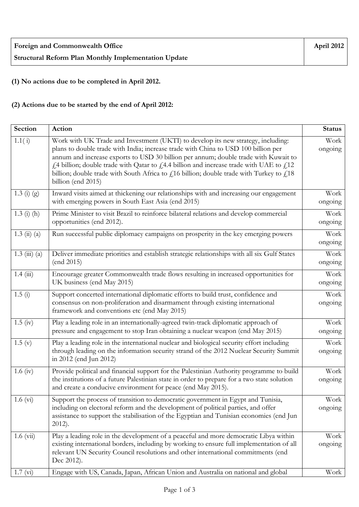| <b>Foreign and Commonwealth Office</b>               | April 2012 |
|------------------------------------------------------|------------|
| Structural Reform Plan Monthly Implementation Update |            |

**(1) No actions due to be completed in April 2012.** 

## **(2) Actions due to be started by the end of April 2012:**

| Section                   | Action                                                                                                                                                                                                                                                                                                                                                                                                                                                                         | <b>Status</b>   |
|---------------------------|--------------------------------------------------------------------------------------------------------------------------------------------------------------------------------------------------------------------------------------------------------------------------------------------------------------------------------------------------------------------------------------------------------------------------------------------------------------------------------|-----------------|
| 1.1(i)                    | Work with UK Trade and Investment (UKTI) to develop its new strategy, including:<br>plans to double trade with India; increase trade with China to USD 100 billion per<br>annum and increase exports to USD 30 billion per annum; double trade with Kuwait to<br>£4 billion; double trade with Qatar to £4.4 billion and increase trade with UAE to £12<br>billion; double trade with South Africa to $f$ 16 billion; double trade with Turkey to $f$ 18<br>billion (end 2015) | Work<br>ongoing |
| $\overline{1}$ .3 (i) (g) | Inward visits aimed at thickening our relationships with and increasing our engagement<br>with emerging powers in South East Asia (end 2015)                                                                                                                                                                                                                                                                                                                                   | Work<br>ongoing |
| $1.3$ (i) (h)             | Prime Minister to visit Brazil to reinforce bilateral relations and develop commercial<br>opportunities (end 2012).                                                                                                                                                                                                                                                                                                                                                            | Work<br>ongoing |
| $1.3 \; (ii) \; (a)$      | Run successful public diplomacy campaigns on prosperity in the key emerging powers                                                                                                                                                                                                                                                                                                                                                                                             | Work<br>ongoing |
| $1.3 \ (iii) \ (a)$       | Deliver immediate priorities and establish strategic relationships with all six Gulf States<br>(end 2015)                                                                                                                                                                                                                                                                                                                                                                      | Work<br>ongoing |
| 1.4(iii)                  | Encourage greater Commonwealth trade flows resulting in increased opportunities for<br>UK business (end May 2015)                                                                                                                                                                                                                                                                                                                                                              | Work<br>ongoing |
| 1.5(i)                    | Support concerted international diplomatic efforts to build trust, confidence and<br>consensus on non-proliferation and disarmament through existing international<br>framework and conventions etc (end May 2015)                                                                                                                                                                                                                                                             | Work<br>ongoing |
| $1.5 \; (iv)$             | Play a leading role in an internationally-agreed twin-track diplomatic approach of<br>pressure and engagement to stop Iran obtaining a nuclear weapon (end May 2015)                                                                                                                                                                                                                                                                                                           | Work<br>ongoing |
| 1.5(y)                    | Play a leading role in the international nuclear and biological security effort including<br>through leading on the information security strand of the 2012 Nuclear Security Summit<br>in 2012 (end Jun 2012)                                                                                                                                                                                                                                                                  | Work<br>ongoing |
| $1.6 \text{ (iv)}$        | Provide political and financial support for the Palestinian Authority programme to build<br>the institutions of a future Palestinian state in order to prepare for a two state solution<br>and create a conducive environment for peace (end May 2015).                                                                                                                                                                                                                        | Work<br>ongoing |
| $1.6 \text{ (vi)}$        | Support the process of transition to democratic government in Egypt and Tunisia,<br>including on electoral reform and the development of political parties, and offer<br>assistance to support the stabilisation of the Egyptian and Tunisian economies (end Jun<br>$2012$ ).                                                                                                                                                                                                  | Work<br>ongoing |
| $1.6 \ (vi)$              | Play a leading role in the development of a peaceful and more democratic Libya within<br>existing international borders, including by working to ensure full implementation of all<br>relevant UN Security Council resolutions and other international commitments (end<br>Dec 2012).                                                                                                                                                                                          | Work<br>ongoing |
| 1.7 (vi)                  | Engage with US, Canada, Japan, African Union and Australia on national and global                                                                                                                                                                                                                                                                                                                                                                                              | Work            |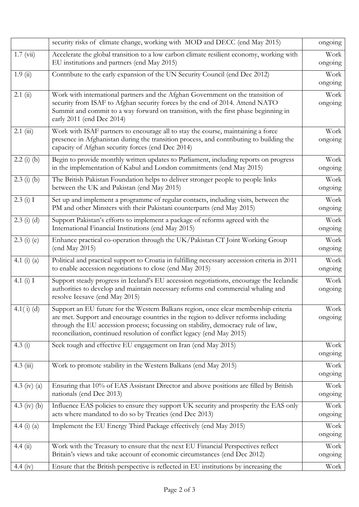|                     | security risks of climate change, working with MOD and DECC (end May 2015)                                                                                                                                                                                                                                                               | ongoing         |
|---------------------|------------------------------------------------------------------------------------------------------------------------------------------------------------------------------------------------------------------------------------------------------------------------------------------------------------------------------------------|-----------------|
| $1.7 \text{ (vii)}$ | Accelerate the global transition to a low carbon climate resilient economy, working with<br>EU institutions and partners (end May 2015)                                                                                                                                                                                                  | Work<br>ongoing |
| 1.9(i)              | Contribute to the early expansion of the UN Security Council (end Dec 2012)                                                                                                                                                                                                                                                              | Work<br>ongoing |
| 2.1(i)              | Work with international partners and the Afghan Government on the transition of<br>security from ISAF to Afghan security forces by the end of 2014. Attend NATO<br>Summit and commit to a way forward on transition, with the first phase beginning in<br>early 2011 (end Dec 2014)                                                      | Work<br>ongoing |
| $2.1$ (iii)         | Work with ISAF partners to encourage all to stay the course, maintaining a force<br>presence in Afghanistan during the transition process, and contributing to building the<br>capacity of Afghan security forces (end Dec 2014)                                                                                                         | Work<br>ongoing |
| $2.2$ (i) (b)       | Begin to provide monthly written updates to Parliament, including reports on progress<br>in the implementation of Kabul and London commitments (end May 2015)                                                                                                                                                                            | Work<br>ongoing |
| $2.3$ (i) (b)       | The British Pakistan Foundation helps to deliver stronger people to people links<br>between the UK and Pakistan (end May 2015)                                                                                                                                                                                                           | Work<br>ongoing |
| 2.3(i) I            | Set up and implement a programme of regular contacts, including visits, between the<br>PM and other Minsters with their Pakistani counterparts (end May 2015)                                                                                                                                                                            | Work<br>ongoing |
| $2.3$ (i) (d)       | Support Pakistan's efforts to implement a package of reforms agreed with the<br>International Financial Institutions (end May 2015)                                                                                                                                                                                                      | Work<br>ongoing |
| $2.3$ (i) (e)       | Enhance practical co-operation through the UK/Pakistan CT Joint Working Group<br>(end May 2015)                                                                                                                                                                                                                                          | Work<br>ongoing |
| 4.1 $(i)$ $(a)$     | Political and practical support to Croatia in fulfilling necessary accession criteria in 2011<br>to enable accession negotiations to close (end May 2015)                                                                                                                                                                                | Work<br>ongoing |
| 4.1 $(i)$ I         | Support steady progress in Iceland's EU accession negotiations, encourage the Icelandic<br>authorities to develop and maintain necessary reforms end commercial whaling and<br>resolve Icesave (end May 2015)                                                                                                                            | Work<br>ongoing |
| $4.1(i)$ (d)        | Support an EU future for the Western Balkans region, once clear membership criteria<br>are met. Support and encourage countries in the region to deliver reforms including<br>through the EU accession process; focussing on stability, democracy rule of law,<br>reconciliation, continued resolution of conflict legacy (end May 2015) | Work<br>ongoing |
| 4.3(i)              | Seek tough and effective EU engagement on Iran (end May 2015)                                                                                                                                                                                                                                                                            | Work<br>ongoing |
| $4.3$ (iii)         | Work to promote stability in the Western Balkans (end May 2015)                                                                                                                                                                                                                                                                          | Work<br>ongoing |
| 4.3 (iv) (a)        | Ensuring that 10% of EAS Assistant Director and above positions are filled by British<br>nationals (end Dec 2013)                                                                                                                                                                                                                        | Work<br>ongoing |
| 4.3 (iv) (b)        | Influence EAS policies to ensure they support UK security and prosperity the EAS only<br>acts where mandated to do so by Treaties (end Dec 2013)                                                                                                                                                                                         | Work<br>ongoing |
| 4.4 $(i)$ $(a)$     | Implement the EU Energy Third Package effectively (end May 2015)                                                                                                                                                                                                                                                                         | Work<br>ongoing |
| 4.4(ii)             | Work with the Treasury to ensure that the next EU Financial Perspectives reflect<br>Britain's views and take account of economic circumstances (end Dec 2012)                                                                                                                                                                            | Work<br>ongoing |
| 4.4 (iv)            | Ensure that the British perspective is reflected in EU institutions by increasing the                                                                                                                                                                                                                                                    | Work            |